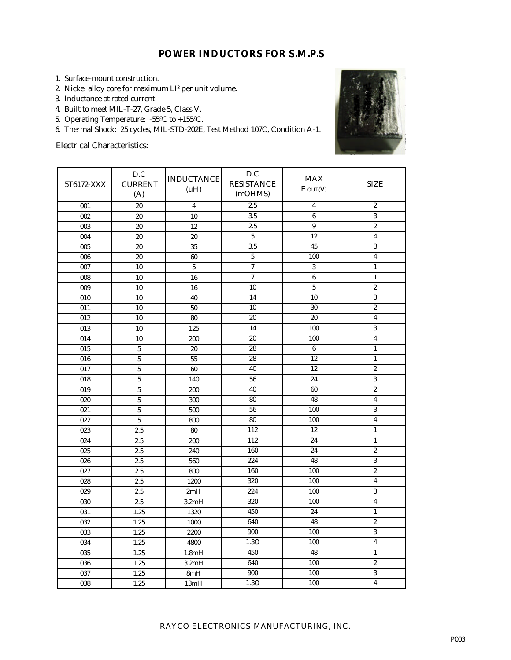## **POWER INDUCTORS FOR S.M.P.S**

- 1. Surface-mount construction.
- 2. Nickel alloy core for maximum LI² per unit volume.
- 3. Inductance at rated current.
- 4. Built to meet MIL-T-27, Grade 5, Class V.
- 5. Operating Temperature: -55ºC to +155ºC.
- 6. Thermal Shock: 25 cycles, MIL-STD-202E, Test Method 107C, Condition A-1.

Electrical Characteristics:



| 5T6172-XXX       | D.C<br><b>INDUCTANCE</b><br><b>CURRENT</b><br>(A) |                         | D.C<br><b>RESISTANCE</b><br>(mOHMS) | <b>MAX</b><br>$E$ out $(V)$ | <b>SIZE</b>             |  |
|------------------|---------------------------------------------------|-------------------------|-------------------------------------|-----------------------------|-------------------------|--|
| 001              | 20                                                | $\overline{\mathbf{4}}$ | 2.5                                 | $\overline{\mathbf{4}}$     | $\overline{2}$          |  |
| 002              | 20                                                | 10                      | 3.5                                 | $6\phantom{1}$              | $\overline{3}$          |  |
| 003              | 20                                                | 12                      | 2.5                                 | 9                           | $\overline{2}$          |  |
| 004              | 20                                                | 20                      | 5                                   | 12                          | $\overline{\mathbf{4}}$ |  |
| 005              | 20                                                | 35                      | $\overline{3.5}$                    | 45                          | $\overline{3}$          |  |
| 006              | 20                                                | 60                      | $\overline{5}$                      | 100                         | $\overline{\mathbf{4}}$ |  |
| 007              | 10                                                | $\overline{5}$          | $\overline{7}$                      | 3                           | $\mathbf{1}$            |  |
| ${\bf 008}$      | 10                                                | 16                      | $\overline{7}$                      | $6\phantom{1}$              | $\mathbf{1}$            |  |
| 009              | 10                                                | 16                      | 10                                  | $\sqrt{5}$                  | $\boldsymbol{2}$        |  |
| $\overline{010}$ | 10                                                | 40                      | 14                                  | 10                          | $\overline{3}$          |  |
| 011              | 10                                                | 50                      | 10                                  | 30                          | $\overline{2}$          |  |
| $\overline{012}$ | $\overline{10}$                                   | 80                      | 20                                  | 20                          | $\overline{\mathbf{4}}$ |  |
| 013              | 10                                                | 125                     | 14                                  | 100                         | $\overline{3}$          |  |
| 014              | 10                                                | 200                     | 20                                  | 100                         | 4                       |  |
| 015              | $\bf 5$                                           | 20                      | 28                                  | $\boldsymbol{6}$            | $\mathbf{1}$            |  |
| 016              | $\overline{5}$                                    | 55                      | 28                                  | 12                          | $\mathbf{1}$            |  |
| 017              | $\overline{5}$                                    | 60                      | 40                                  | 12                          | $\overline{2}$          |  |
| 018              | $\bf 5$                                           | 140                     | 56                                  | 24                          | 3                       |  |
| 019              | $\overline{5}$                                    | 200                     | 40                                  | 60                          | $\boldsymbol{2}$        |  |
| 020              | $\sqrt{5}$                                        | 300                     | 80                                  | 48                          | 4                       |  |
| 021              | $\overline{5}$                                    | 500                     | 56                                  | 100                         | $\overline{3}$          |  |
| 022              | $\bf 5$                                           | 800                     | 80                                  | 100                         | $\overline{\mathbf{4}}$ |  |
| 023              | 2.5                                               | 80                      | 112                                 | 12                          | $\mathbf{1}$            |  |
| 024              | 2.5                                               | 200                     | 112                                 | 24                          | $\mathbf{1}$            |  |
| $\overline{025}$ | 2.5                                               | 240                     | 160                                 | 24                          | $\boldsymbol{2}$        |  |
| 026              | 2.5                                               | 560                     | 224                                 | 48                          | $\overline{3}$          |  |
| 027              | 2.5                                               | 800                     | 160                                 | 100                         | $\overline{2}$          |  |
| 028              | 2.5                                               | 1200                    | 320                                 | 100                         | $\overline{\mathbf{4}}$ |  |
| 029              | 2.5                                               | 2mH                     | 224                                 | 100                         | 3                       |  |
| 030              | 2.5                                               | 3.2mH                   | 320                                 | 100                         | 4                       |  |
| 031              | 1.25                                              | 1320                    | 450                                 | 24                          | $\mathbf{1}$            |  |
| 032              | 1.25                                              | 1000                    | 640                                 | 48                          | $\overline{c}$          |  |
| 033              | 1.25                                              | 2200                    | 900                                 | 100                         | 3                       |  |
| 034              | 1.25                                              | 4800                    | 1.3O                                | 100                         | $\overline{\mathbf{4}}$ |  |
| 035              | 1.25                                              | 1.8mH                   | 450                                 | 48                          | $\mathbf{1}$            |  |
| 036              | 1.25                                              | 3.2mH                   | 640                                 | 100                         | $\overline{c}$          |  |
| 037              | 1.25                                              | 8mH                     | 900                                 | 100                         | $\overline{3}$          |  |
| 038              | 1.25                                              | 13mH                    | 1.3O                                | 100                         | $\overline{4}$          |  |